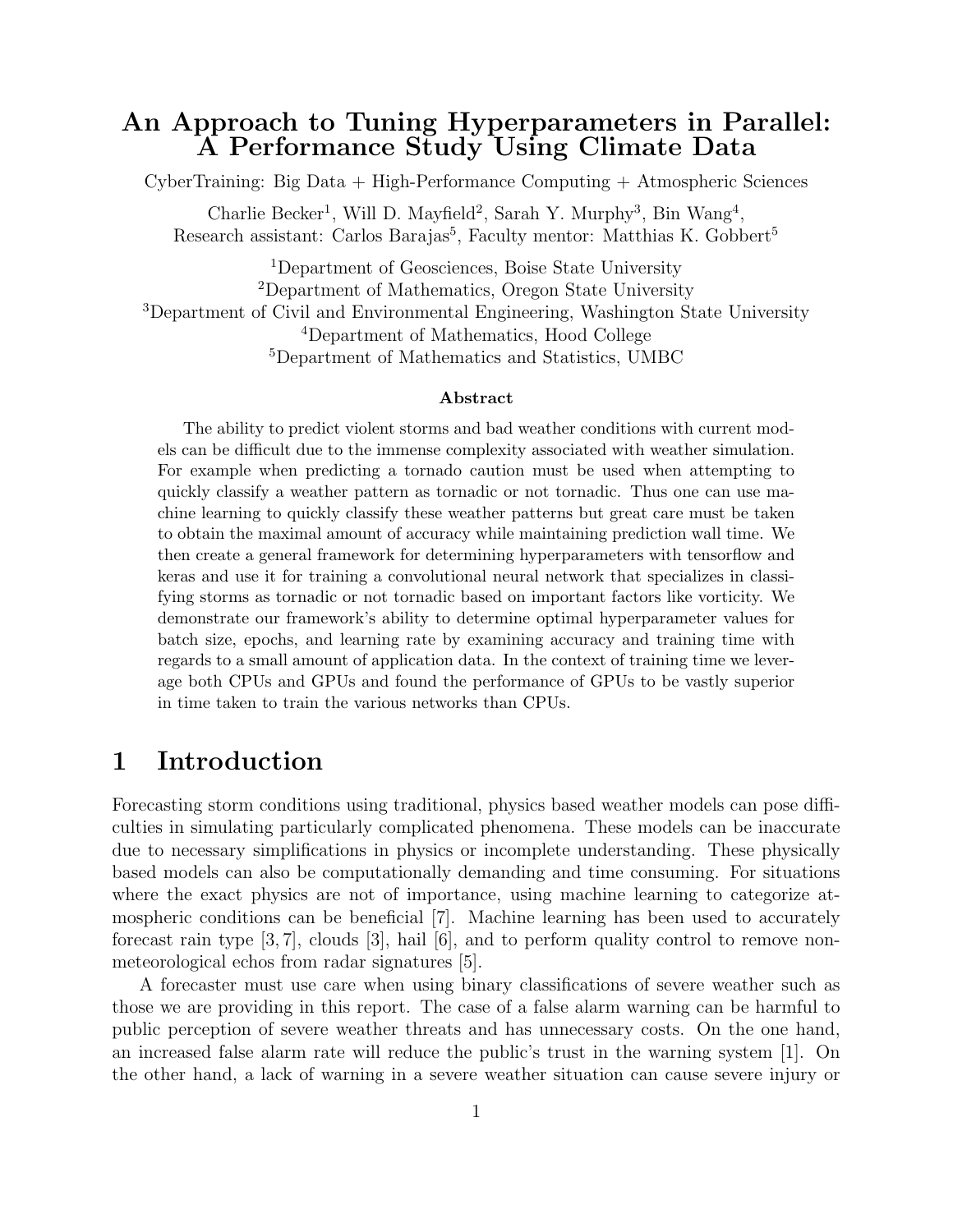## An Approach to Tuning Hyperparameters in Parallel: A Performance Study Using Climate Data

CyberTraining: Big Data + High-Performance Computing + Atmospheric Sciences

Charlie Becker<sup>1</sup>, Will D. Mayfield<sup>2</sup>, Sarah Y. Murphy<sup>3</sup>, Bin Wang<sup>4</sup>, Research assistant: Carlos Barajas<sup>5</sup>, Faculty mentor: Matthias K. Gobbert<sup>5</sup>

Department of Geosciences, Boise State University Department of Mathematics, Oregon State University Department of Civil and Environmental Engineering, Washington State University Department of Mathematics, Hood College Department of Mathematics and Statistics, UMBC

#### Abstract

The ability to predict violent storms and bad weather conditions with current models can be difficult due to the immense complexity associated with weather simulation. For example when predicting a tornado caution must be used when attempting to quickly classify a weather pattern as tornadic or not tornadic. Thus one can use machine learning to quickly classify these weather patterns but great care must be taken to obtain the maximal amount of accuracy while maintaining prediction wall time. We then create a general framework for determining hyperparameters with tensorflow and keras and use it for training a convolutional neural network that specializes in classifying storms as tornadic or not tornadic based on important factors like vorticity. We demonstrate our framework's ability to determine optimal hyperparameter values for batch size, epochs, and learning rate by examining accuracy and training time with regards to a small amount of application data. In the context of training time we leverage both CPUs and GPUs and found the performance of GPUs to be vastly superior in time taken to train the various networks than CPUs.

## <span id="page-0-0"></span>1 Introduction

Forecasting storm conditions using traditional, physics based weather models can pose difficulties in simulating particularly complicated phenomena. These models can be inaccurate due to necessary simplifications in physics or incomplete understanding. These physically based models can also be computationally demanding and time consuming. For situations where the exact physics are not of importance, using machine learning to categorize atmospheric conditions can be beneficial [\[7\]](#page-13-0). Machine learning has been used to accurately forecast rain type  $[3, 7]$  $[3, 7]$  $[3, 7]$ , clouds  $[3]$ , hail  $[6]$ , and to perform quality control to remove nonmeteorological echos from radar signatures [\[5\]](#page-13-3).

A forecaster must use care when using binary classifications of severe weather such as those we are providing in this report. The case of a false alarm warning can be harmful to public perception of severe weather threats and has unnecessary costs. On the one hand, an increased false alarm rate will reduce the public's trust in the warning system [\[1\]](#page-13-4). On the other hand, a lack of warning in a severe weather situation can cause severe injury or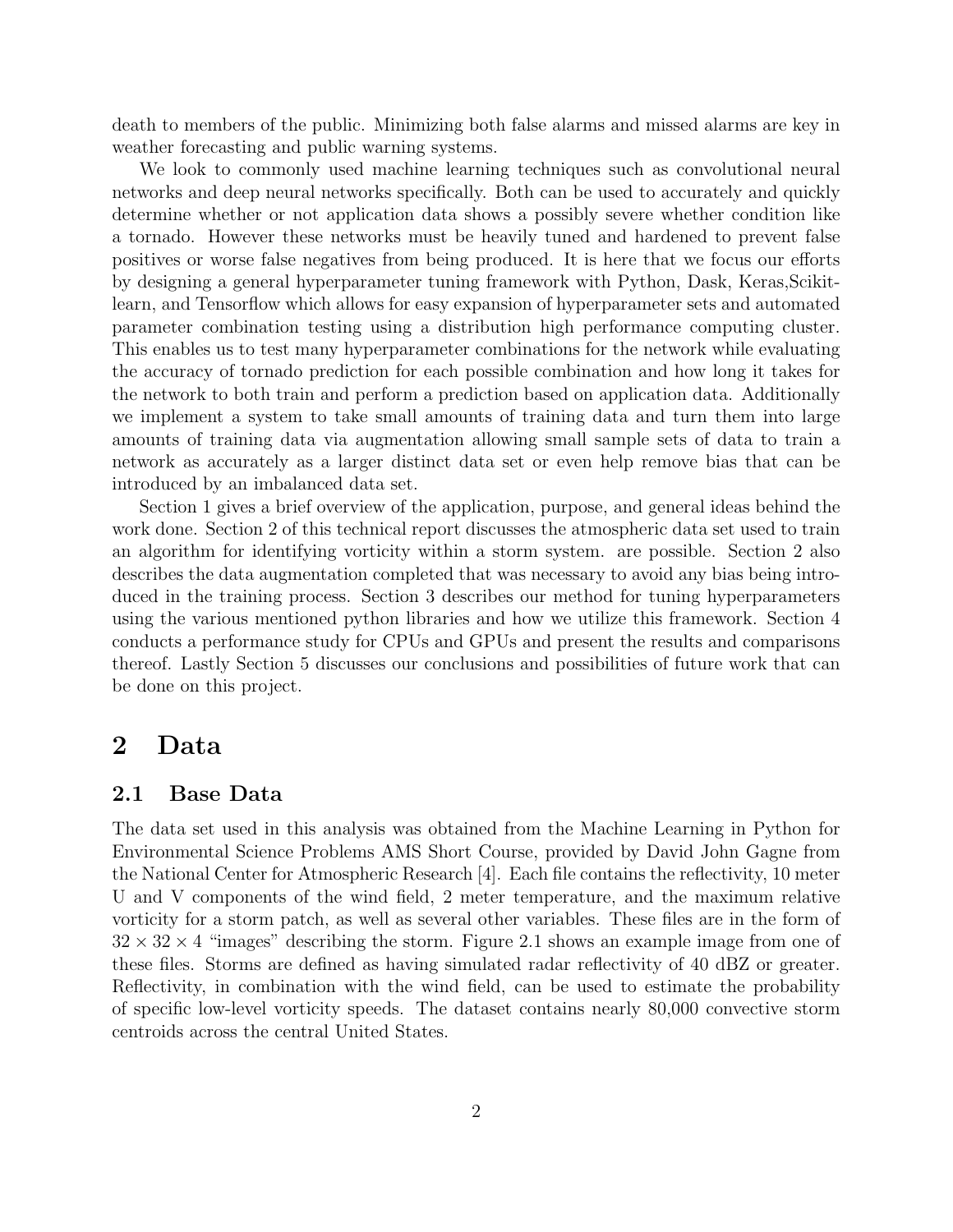death to members of the public. Minimizing both false alarms and missed alarms are key in weather forecasting and public warning systems.

We look to commonly used machine learning techniques such as convolutional neural networks and deep neural networks specifically. Both can be used to accurately and quickly determine whether or not application data shows a possibly severe whether condition like a tornado. However these networks must be heavily tuned and hardened to prevent false positives or worse false negatives from being produced. It is here that we focus our efforts by designing a general hyperparameter tuning framework with Python, Dask, Keras,Scikitlearn, and Tensorflow which allows for easy expansion of hyperparameter sets and automated parameter combination testing using a distribution high performance computing cluster. This enables us to test many hyperparameter combinations for the network while evaluating the accuracy of tornado prediction for each possible combination and how long it takes for the network to both train and perform a prediction based on application data. Additionally we implement a system to take small amounts of training data and turn them into large amounts of training data via augmentation allowing small sample sets of data to train a network as accurately as a larger distinct data set or even help remove bias that can be introduced by an imbalanced data set.

Section [1](#page-0-0) gives a brief overview of the application, purpose, and general ideas behind the work done. Section [2](#page-1-0) of this technical report discusses the atmospheric data set used to train an algorithm for identifying vorticity within a storm system. are possible. Section [2](#page-1-0) also describes the data augmentation completed that was necessary to avoid any bias being introduced in the training process. Section [3](#page-3-0) describes our method for tuning hyperparameters using the various mentioned python libraries and how we utilize this framework. Section [4](#page-7-0) conducts a performance study for CPUs and GPUs and present the results and comparisons thereof. Lastly Section [5](#page-12-0) discusses our conclusions and possibilities of future work that can be done on this project.

## <span id="page-1-0"></span>2 Data

#### 2.1 Base Data

The data set used in this analysis was obtained from the Machine Learning in Python for Environmental Science Problems AMS Short Course, provided by David John Gagne from the National Center for Atmospheric Research [\[4\]](#page-13-5). Each file contains the reflectivity, 10 meter U and V components of the wind field, 2 meter temperature, and the maximum relative vorticity for a storm patch, as well as several other variables. These files are in the form of  $32 \times 32 \times 4$  "images" describing the storm. Figure [2.1](#page-2-0) shows an example image from one of these files. Storms are defined as having simulated radar reflectivity of 40 dBZ or greater. Reflectivity, in combination with the wind field, can be used to estimate the probability of specific low-level vorticity speeds. The dataset contains nearly 80,000 convective storm centroids across the central United States.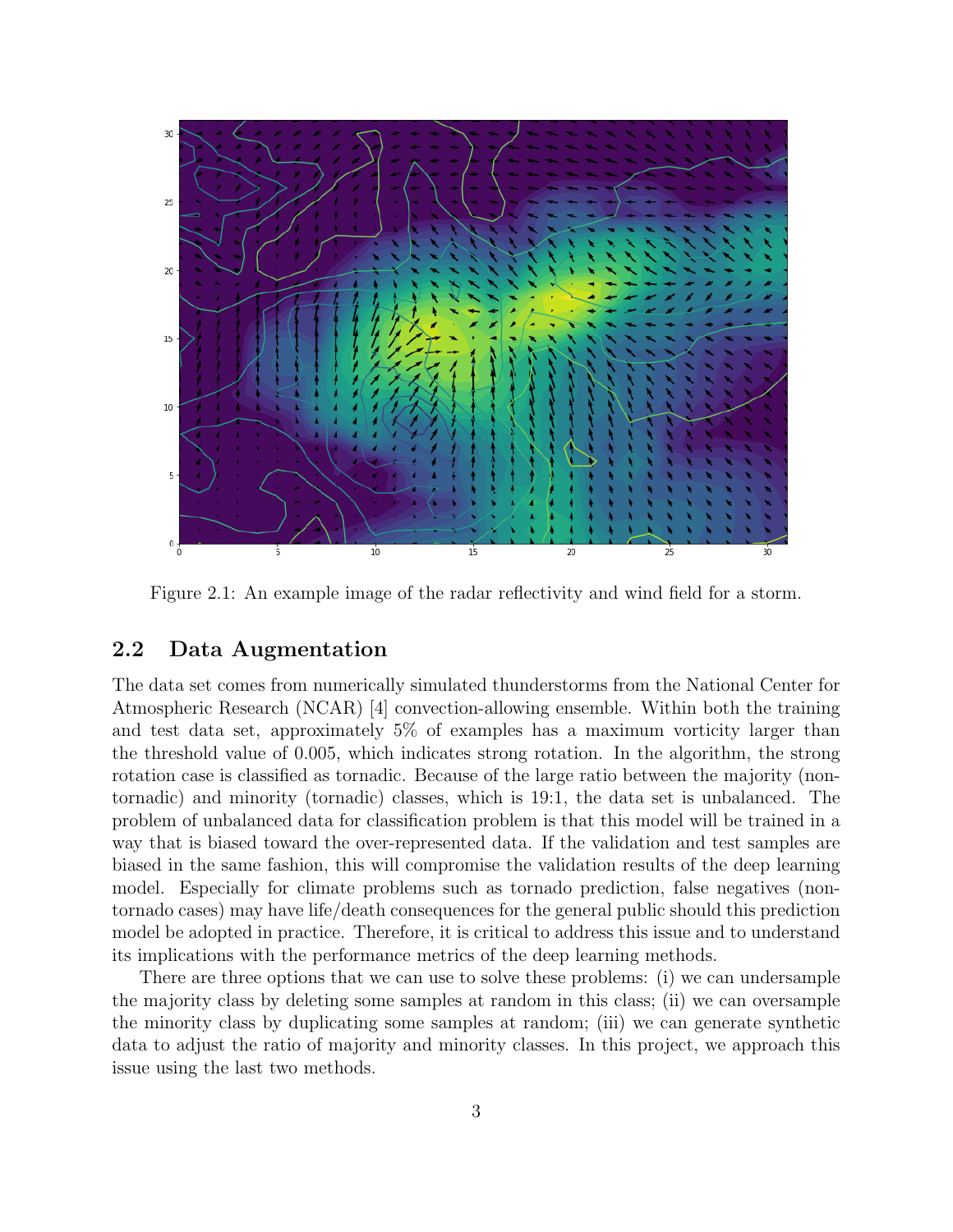

<span id="page-2-0"></span>Figure 2.1: An example image of the radar reflectivity and wind field for a storm.

### 2.2 Data Augmentation

The data set comes from numerically simulated thunderstorms from the National Center for Atmospheric Research (NCAR) [\[4\]](#page-13-5) convection-allowing ensemble. Within both the training and test data set, approximately 5% of examples has a maximum vorticity larger than the threshold value of 0.005, which indicates strong rotation. In the algorithm, the strong rotation case is classified as tornadic. Because of the large ratio between the majority (nontornadic) and minority (tornadic) classes, which is 19:1, the data set is unbalanced. The problem of unbalanced data for classification problem is that this model will be trained in a way that is biased toward the over-represented data. If the validation and test samples are biased in the same fashion, this will compromise the validation results of the deep learning model. Especially for climate problems such as tornado prediction, false negatives (nontornado cases) may have life/death consequences for the general public should this prediction model be adopted in practice. Therefore, it is critical to address this issue and to understand its implications with the performance metrics of the deep learning methods.

There are three options that we can use to solve these problems: (i) we can undersample the majority class by deleting some samples at random in this class; (ii) we can oversample the minority class by duplicating some samples at random; (iii) we can generate synthetic data to adjust the ratio of majority and minority classes. In this project, we approach this issue using the last two methods.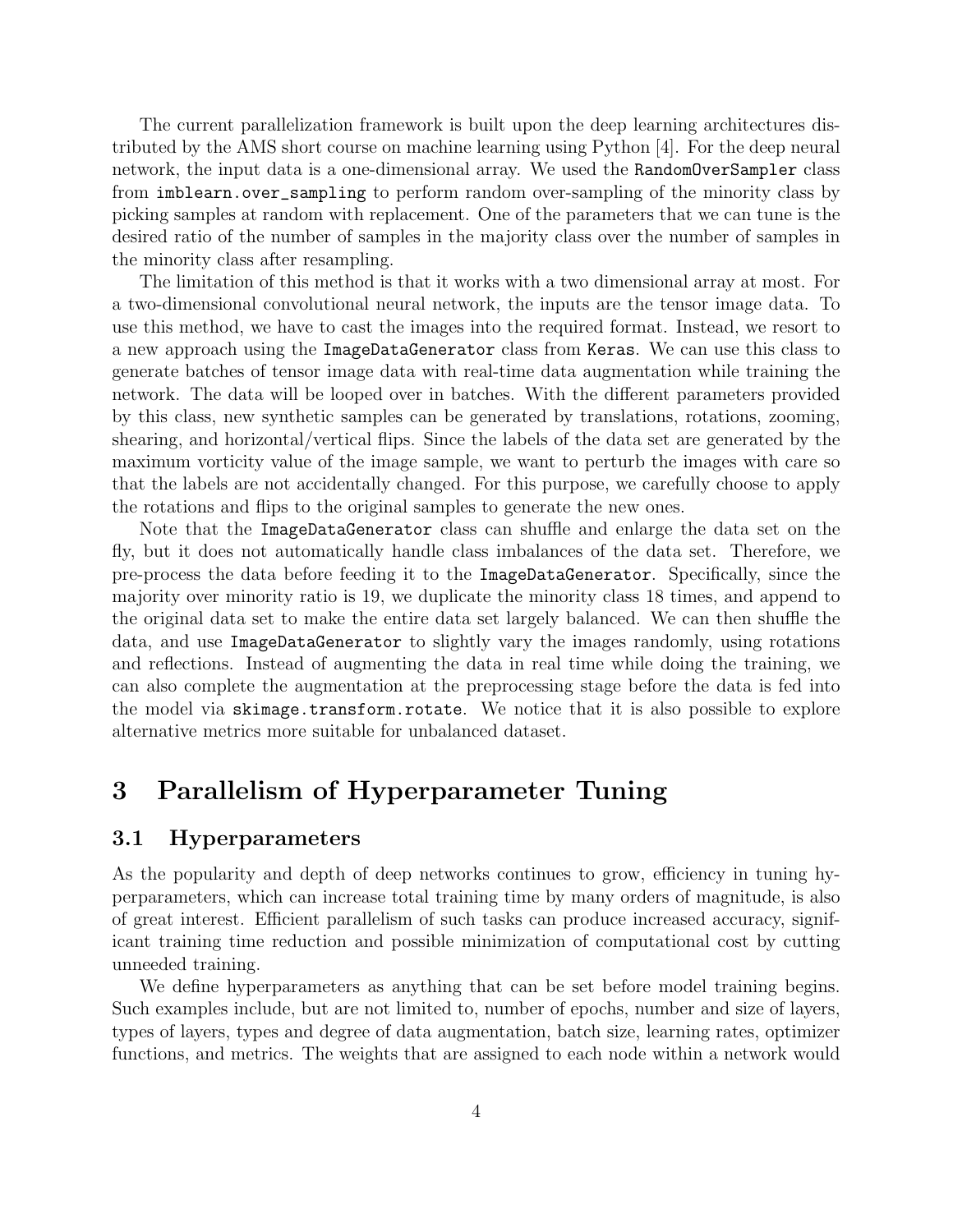The current parallelization framework is built upon the deep learning architectures distributed by the AMS short course on machine learning using Python [\[4\]](#page-13-5). For the deep neural network, the input data is a one-dimensional array. We used the RandomOverSampler class from imblearn.over\_sampling to perform random over-sampling of the minority class by picking samples at random with replacement. One of the parameters that we can tune is the desired ratio of the number of samples in the majority class over the number of samples in the minority class after resampling.

The limitation of this method is that it works with a two dimensional array at most. For a two-dimensional convolutional neural network, the inputs are the tensor image data. To use this method, we have to cast the images into the required format. Instead, we resort to a new approach using the ImageDataGenerator class from Keras. We can use this class to generate batches of tensor image data with real-time data augmentation while training the network. The data will be looped over in batches. With the different parameters provided by this class, new synthetic samples can be generated by translations, rotations, zooming, shearing, and horizontal/vertical flips. Since the labels of the data set are generated by the maximum vorticity value of the image sample, we want to perturb the images with care so that the labels are not accidentally changed. For this purpose, we carefully choose to apply the rotations and flips to the original samples to generate the new ones.

Note that the ImageDataGenerator class can shuffle and enlarge the data set on the fly, but it does not automatically handle class imbalances of the data set. Therefore, we pre-process the data before feeding it to the ImageDataGenerator. Specifically, since the majority over minority ratio is 19, we duplicate the minority class 18 times, and append to the original data set to make the entire data set largely balanced. We can then shuffle the data, and use ImageDataGenerator to slightly vary the images randomly, using rotations and reflections. Instead of augmenting the data in real time while doing the training, we can also complete the augmentation at the preprocessing stage before the data is fed into the model via skimage.transform.rotate. We notice that it is also possible to explore alternative metrics more suitable for unbalanced dataset.

## <span id="page-3-0"></span>3 Parallelism of Hyperparameter Tuning

### 3.1 Hyperparameters

As the popularity and depth of deep networks continues to grow, efficiency in tuning hyperparameters, which can increase total training time by many orders of magnitude, is also of great interest. Efficient parallelism of such tasks can produce increased accuracy, significant training time reduction and possible minimization of computational cost by cutting unneeded training.

We define hyperparameters as anything that can be set before model training begins. Such examples include, but are not limited to, number of epochs, number and size of layers, types of layers, types and degree of data augmentation, batch size, learning rates, optimizer functions, and metrics. The weights that are assigned to each node within a network would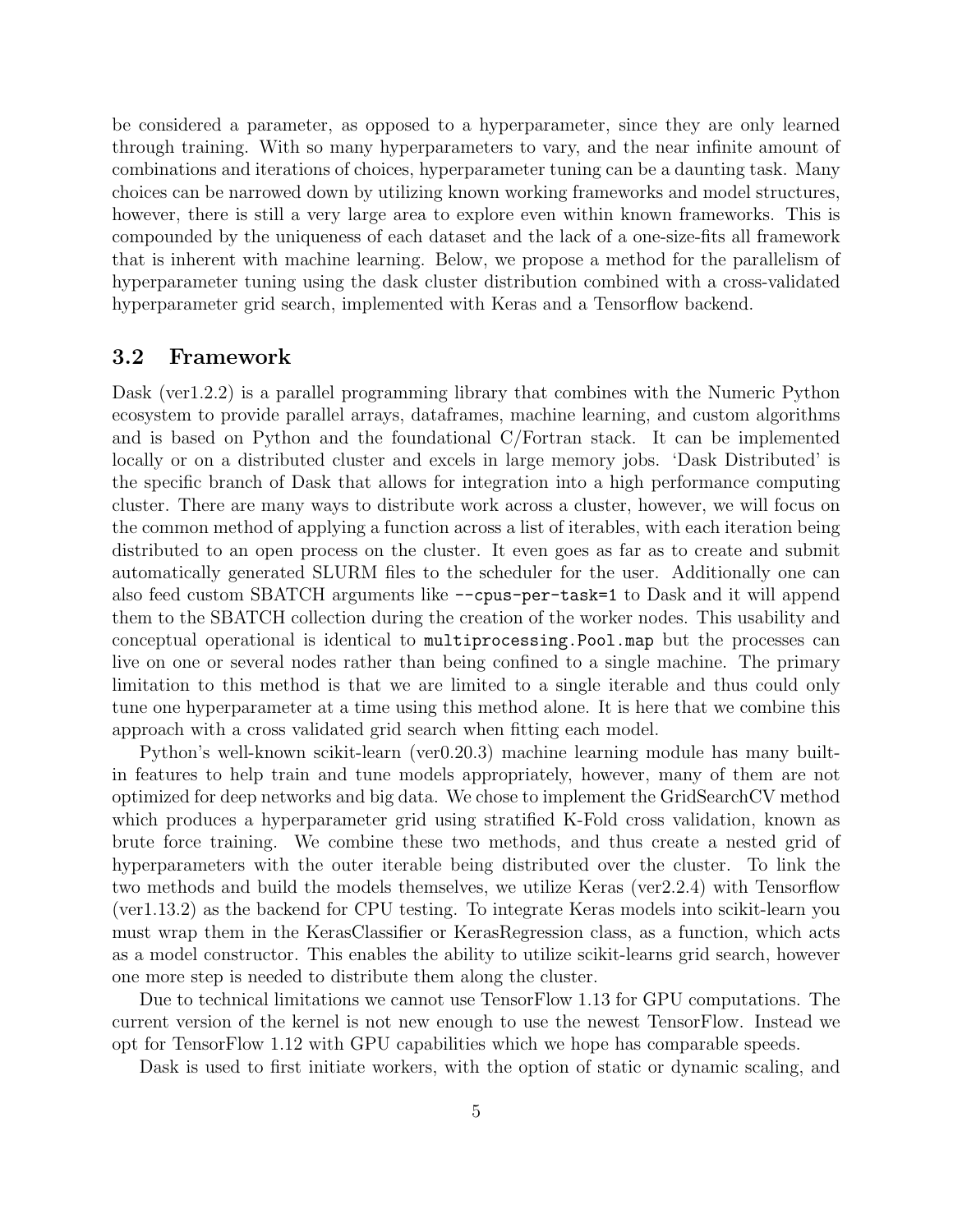be considered a parameter, as opposed to a hyperparameter, since they are only learned through training. With so many hyperparameters to vary, and the near infinite amount of combinations and iterations of choices, hyperparameter tuning can be a daunting task. Many choices can be narrowed down by utilizing known working frameworks and model structures, however, there is still a very large area to explore even within known frameworks. This is compounded by the uniqueness of each dataset and the lack of a one-size-fits all framework that is inherent with machine learning. Below, we propose a method for the parallelism of hyperparameter tuning using the dask cluster distribution combined with a cross-validated hyperparameter grid search, implemented with Keras and a Tensorflow backend.

#### 3.2 Framework

Dask (ver1.2.2) is a parallel programming library that combines with the Numeric Python ecosystem to provide parallel arrays, dataframes, machine learning, and custom algorithms and is based on Python and the foundational C/Fortran stack. It can be implemented locally or on a distributed cluster and excels in large memory jobs. 'Dask Distributed' is the specific branch of Dask that allows for integration into a high performance computing cluster. There are many ways to distribute work across a cluster, however, we will focus on the common method of applying a function across a list of iterables, with each iteration being distributed to an open process on the cluster. It even goes as far as to create and submit automatically generated SLURM files to the scheduler for the user. Additionally one can also feed custom SBATCH arguments like --cpus-per-task=1 to Dask and it will append them to the SBATCH collection during the creation of the worker nodes. This usability and conceptual operational is identical to multiprocessing.Pool.map but the processes can live on one or several nodes rather than being confined to a single machine. The primary limitation to this method is that we are limited to a single iterable and thus could only tune one hyperparameter at a time using this method alone. It is here that we combine this approach with a cross validated grid search when fitting each model.

Python's well-known scikit-learn (ver0.20.3) machine learning module has many builtin features to help train and tune models appropriately, however, many of them are not optimized for deep networks and big data. We chose to implement the GridSearchCV method which produces a hyperparameter grid using stratified K-Fold cross validation, known as brute force training. We combine these two methods, and thus create a nested grid of hyperparameters with the outer iterable being distributed over the cluster. To link the two methods and build the models themselves, we utilize Keras (ver2.2.4) with Tensorflow (ver1.13.2) as the backend for CPU testing. To integrate Keras models into scikit-learn you must wrap them in the KerasClassifier or KerasRegression class, as a function, which acts as a model constructor. This enables the ability to utilize scikit-learns grid search, however one more step is needed to distribute them along the cluster.

Due to technical limitations we cannot use TensorFlow 1.13 for GPU computations. The current version of the kernel is not new enough to use the newest TensorFlow. Instead we opt for TensorFlow 1.12 with GPU capabilities which we hope has comparable speeds.

Dask is used to first initiate workers, with the option of static or dynamic scaling, and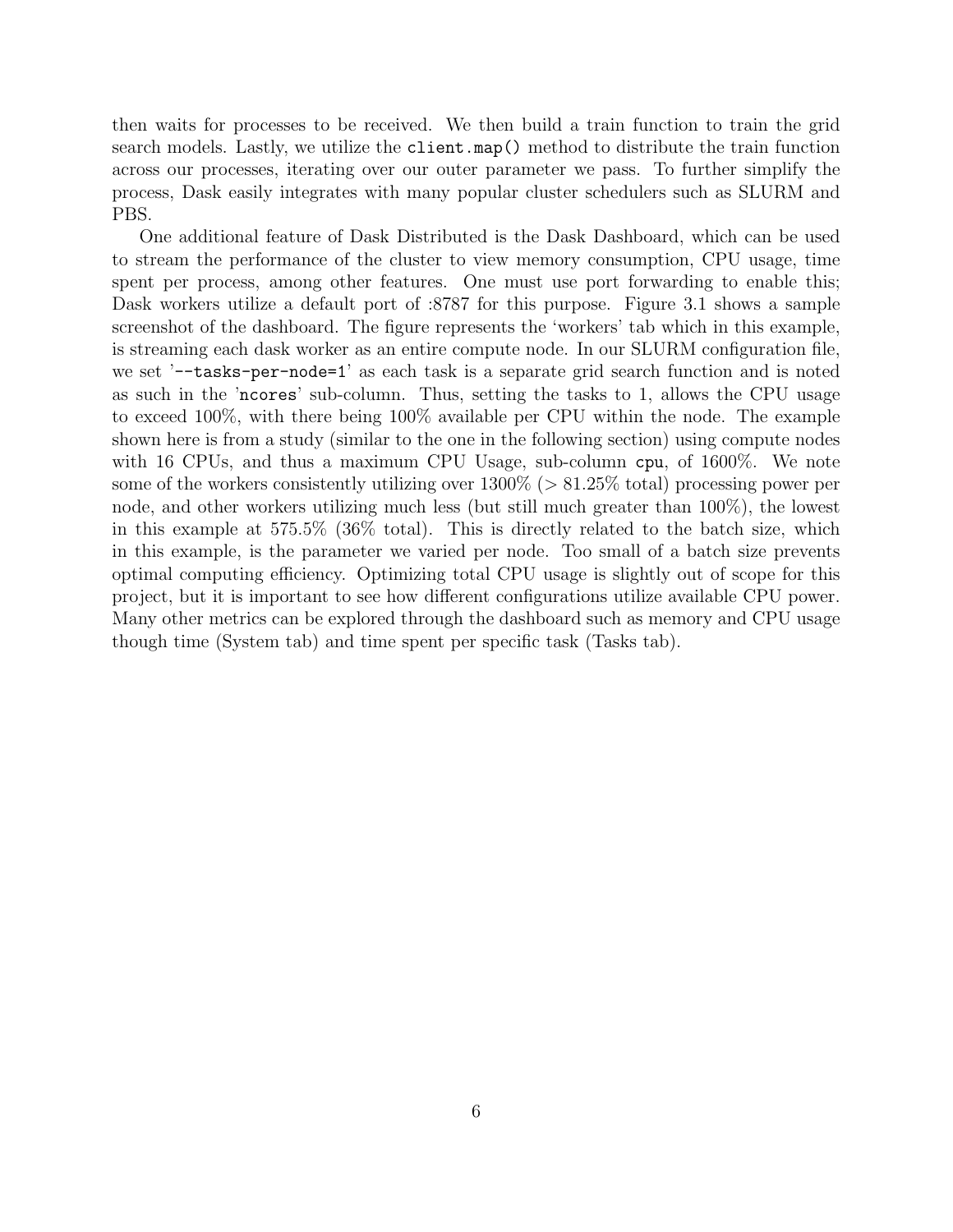then waits for processes to be received. We then build a train function to train the grid search models. Lastly, we utilize the client.map() method to distribute the train function across our processes, iterating over our outer parameter we pass. To further simplify the process, Dask easily integrates with many popular cluster schedulers such as SLURM and PBS.

One additional feature of Dask Distributed is the Dask Dashboard, which can be used to stream the performance of the cluster to view memory consumption, CPU usage, time spent per process, among other features. One must use port forwarding to enable this; Dask workers utilize a default port of :8787 for this purpose. Figure [3.1](#page-6-0) shows a sample screenshot of the dashboard. The figure represents the 'workers' tab which in this example, is streaming each dask worker as an entire compute node. In our SLURM configuration file, we set '--tasks-per-node=1' as each task is a separate grid search function and is noted as such in the 'ncores' sub-column. Thus, setting the tasks to 1, allows the CPU usage to exceed 100%, with there being 100% available per CPU within the node. The example shown here is from a study (similar to the one in the following section) using compute nodes with 16 CPUs, and thus a maximum CPU Usage, sub-column cpu, of 1600%. We note some of the workers consistently utilizing over  $1300\%$  ( $> 81.25\%$  total) processing power per node, and other workers utilizing much less (but still much greater than 100%), the lowest in this example at 575.5% (36% total). This is directly related to the batch size, which in this example, is the parameter we varied per node. Too small of a batch size prevents optimal computing efficiency. Optimizing total CPU usage is slightly out of scope for this project, but it is important to see how different configurations utilize available CPU power. Many other metrics can be explored through the dashboard such as memory and CPU usage though time (System tab) and time spent per specific task (Tasks tab).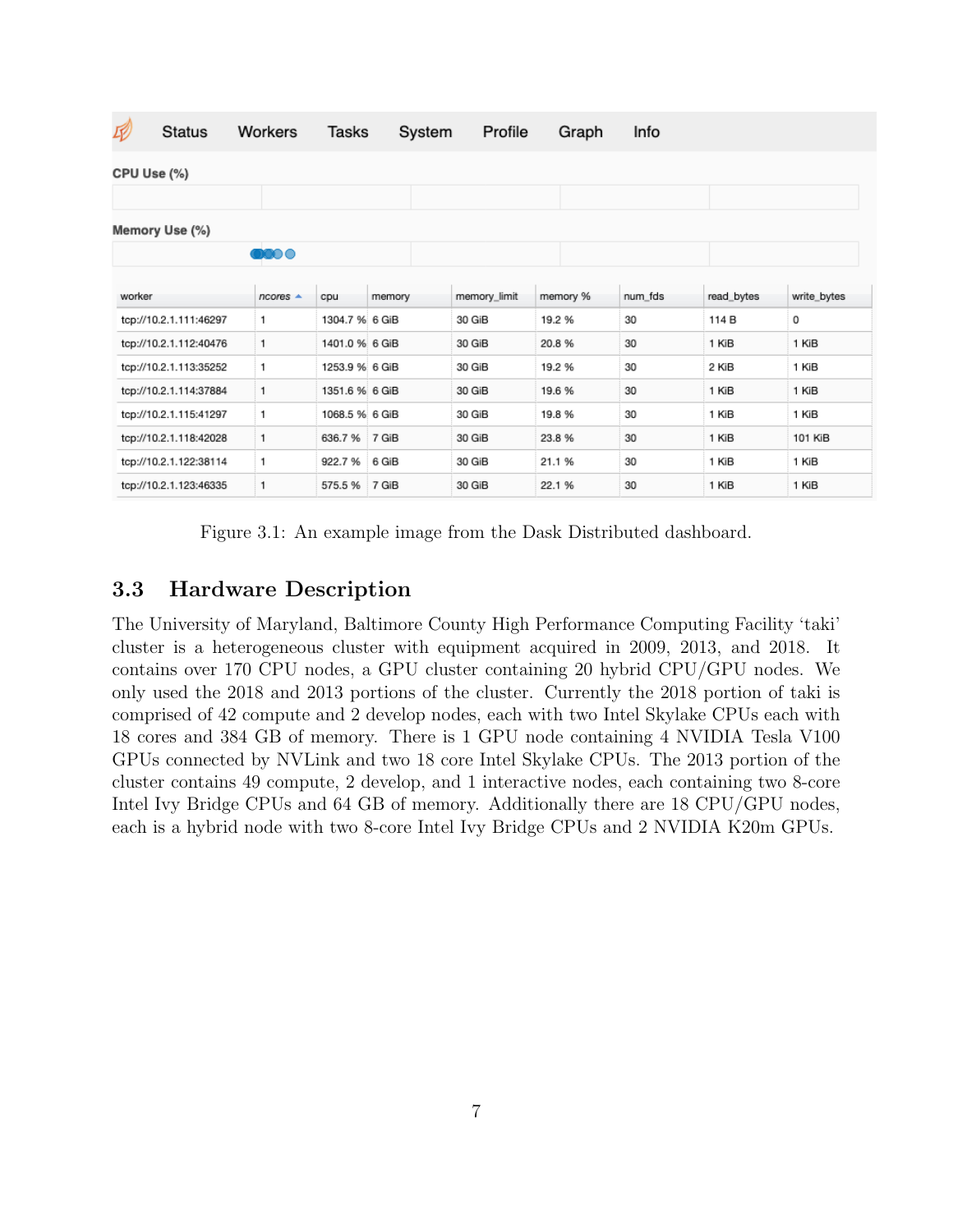| IV          | <b>Status</b>          | Workers              | Tasks          |        | System | Profile      | Graph    | Info    |            |             |
|-------------|------------------------|----------------------|----------------|--------|--------|--------------|----------|---------|------------|-------------|
| CPU Use (%) |                        |                      |                |        |        |              |          |         |            |             |
|             |                        |                      |                |        |        |              |          |         |            |             |
|             | Memory Use (%)         |                      |                |        |        |              |          |         |            |             |
|             |                        | <b>DOO 0</b>         |                |        |        |              |          |         |            |             |
|             |                        |                      |                |        |        |              |          |         |            |             |
| worker      |                        | $ncores$ $\triangle$ | cpu            | memory |        | memory_limit | memory % | num fds | read_bytes | write_bytes |
|             | tcp://10.2.1.111:46297 | 1.                   | 1304.7 % 6 GiB |        |        | 30 GiB       | 19.2 %   | 30      | 114 B      | 0           |
|             | tcp://10.2.1.112:40476 | 1                    | 1401.0 % 6 GiB |        |        | 30 GiB       | 20.8%    | 30      | 1 KiB      | 1 KiB       |
|             | tcp://10.2.1.113:35252 | 1                    | 1253.9 % 6 GiB |        |        | 30 GiB       | 19.2 %   | 30      | 2 KiB      | 1 KiB       |
|             | tcp://10.2.1.114:37884 | 1                    | 1351.6 % 6 GiB |        |        | 30 GiB       | 19.6 %   | 30      | 1 KiB      | 1 KiB       |
|             | tcp://10.2.1.115:41297 | 1.                   | 1068.5 % 6 GiB |        |        | 30 GiB       | 19.8 %   | 30      | 1 KiB      | 1 KiB       |
|             | tcp://10.2.1.118:42028 | 1                    | 636.7%         | 7 GiB  |        | 30 GiB       | 23.8%    | 30      | 1 KiB      | 101 KiB     |
|             | tcp://10.2.1.122:38114 | 1                    | 922.7%         | 6 GiB  |        | 30 GiB       | 21.1%    | 30      | 1 KiB      | 1 KiB       |
|             | tcp://10.2.1.123:46335 | 1                    | 575.5%         | 7 GiB  |        | 30 GiB       | 22.1 %   | 30      | 1 KiB      | 1 KiB       |

<span id="page-6-0"></span>Figure 3.1: An example image from the Dask Distributed dashboard.

### 3.3 Hardware Description

The University of Maryland, Baltimore County High Performance Computing Facility 'taki' cluster is a heterogeneous cluster with equipment acquired in 2009, 2013, and 2018. It contains over 170 CPU nodes, a GPU cluster containing 20 hybrid CPU/GPU nodes. We only used the 2018 and 2013 portions of the cluster. Currently the 2018 portion of taki is comprised of 42 compute and 2 develop nodes, each with two Intel Skylake CPUs each with 18 cores and 384 GB of memory. There is 1 GPU node containing 4 NVIDIA Tesla V100 GPUs connected by NVLink and two 18 core Intel Skylake CPUs. The 2013 portion of the cluster contains 49 compute, 2 develop, and 1 interactive nodes, each containing two 8-core Intel Ivy Bridge CPUs and 64 GB of memory. Additionally there are 18 CPU/GPU nodes, each is a hybrid node with two 8-core Intel Ivy Bridge CPUs and 2 NVIDIA K20m GPUs.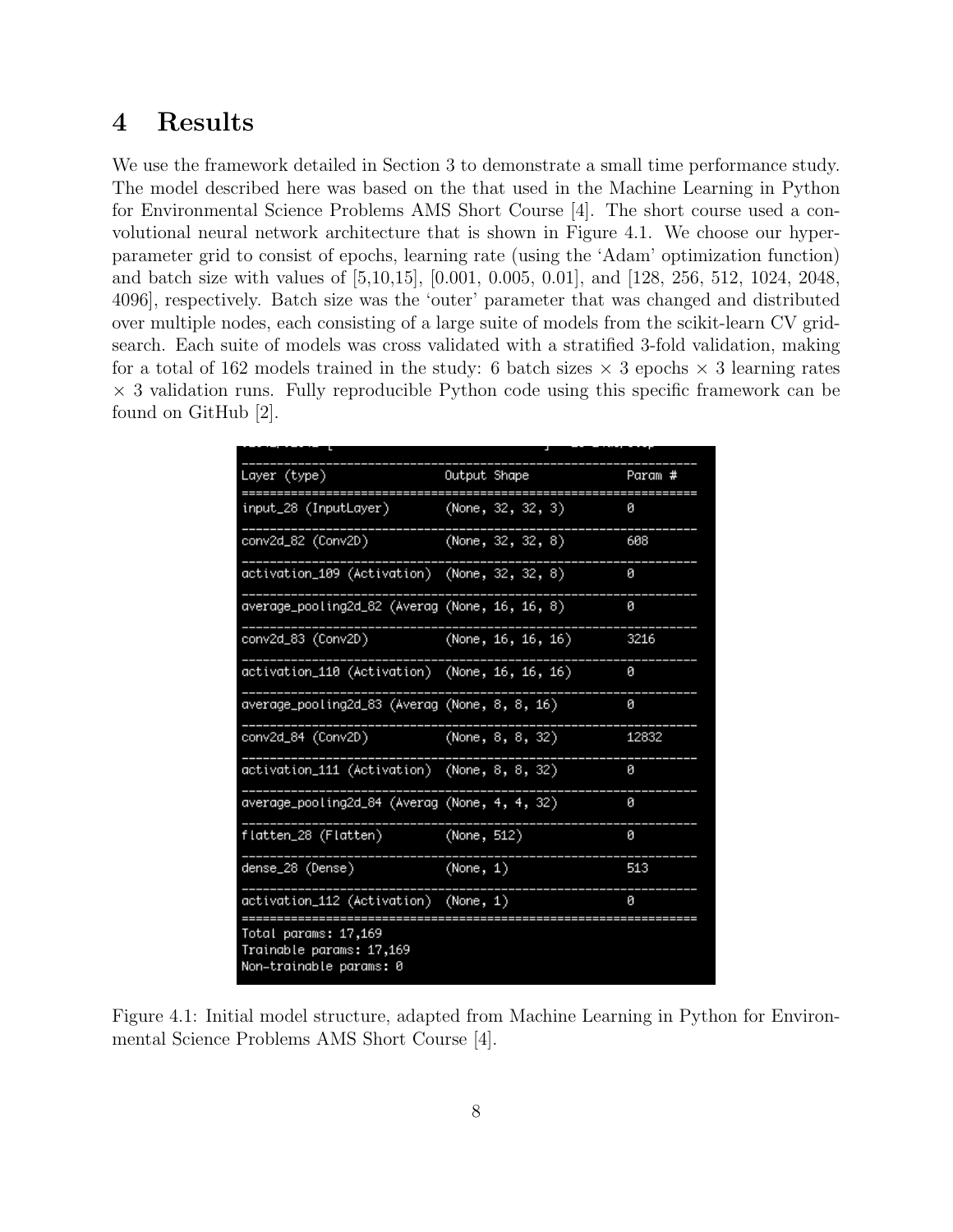## <span id="page-7-0"></span>4 Results

We use the framework detailed in Section [3](#page-3-0) to demonstrate a small time performance study. The model described here was based on the that used in the Machine Learning in Python for Environmental Science Problems AMS Short Course [\[4\]](#page-13-5). The short course used a convolutional neural network architecture that is shown in Figure [4.1.](#page-7-1) We choose our hyperparameter grid to consist of epochs, learning rate (using the 'Adam' optimization function) and batch size with values of [5,10,15], [0.001, 0.005, 0.01], and [128, 256, 512, 1024, 2048, 4096], respectively. Batch size was the 'outer' parameter that was changed and distributed over multiple nodes, each consisting of a large suite of models from the scikit-learn CV gridsearch. Each suite of models was cross validated with a stratified 3-fold validation, making for a total of 162 models trained in the study: 6 batch sizes  $\times$  3 epochs  $\times$  3 learning rates  $\times$  3 validation runs. Fully reproducible Python code using this specific framework can be found on GitHub [\[2\]](#page-13-6).

| Layer (type)                                                                | Output Shape |                       | Param # |
|-----------------------------------------------------------------------------|--------------|-----------------------|---------|
| input_28 (InputLayer)                                                       |              | (None, 32, 32, 3)     | 0       |
| conv2d_82 (Conv2D)                                                          |              | (None, 32, 32, 8)     | 608     |
| activation_109 (Activation) (None, 32, 32, 8)                               |              |                       | 0       |
| average_pooling2d_82 (Averag (None, 16, 16, 8)                              |              |                       | ø       |
| conv2d_83 (Conv2D)                                                          |              | (None, $16, 16, 16$ ) | 3216    |
| activation_110 (Activation) (None, 16, 16, 16)                              |              |                       | 0       |
| average_pooling2d_83 (Averag (None, 8, 8, 16)                               |              |                       | ø       |
| conv2d_84 (Conv2D)                                                          |              | (None, 8, 8, 32)      | 12832   |
| activation_111 (Activation) (None, 8, 8, 32)                                |              |                       | 0       |
| average_pooling2d_84 (Averag (None, 4, 4, 32)                               |              |                       | 0       |
| flatten_28 (Flatten)                                                        | (None, 512)  |                       | ø       |
| dense_28 (Dense)                                                            | (None, 1)    |                       | 513     |
| activation_112 (Activation) (None, 1)                                       |              |                       | ø       |
| Total params: 17,169<br>Trainable params: 17,169<br>Non-trainable params: 0 |              |                       |         |

<span id="page-7-1"></span>Figure 4.1: Initial model structure, adapted from Machine Learning in Python for Environmental Science Problems AMS Short Course [\[4\]](#page-13-5).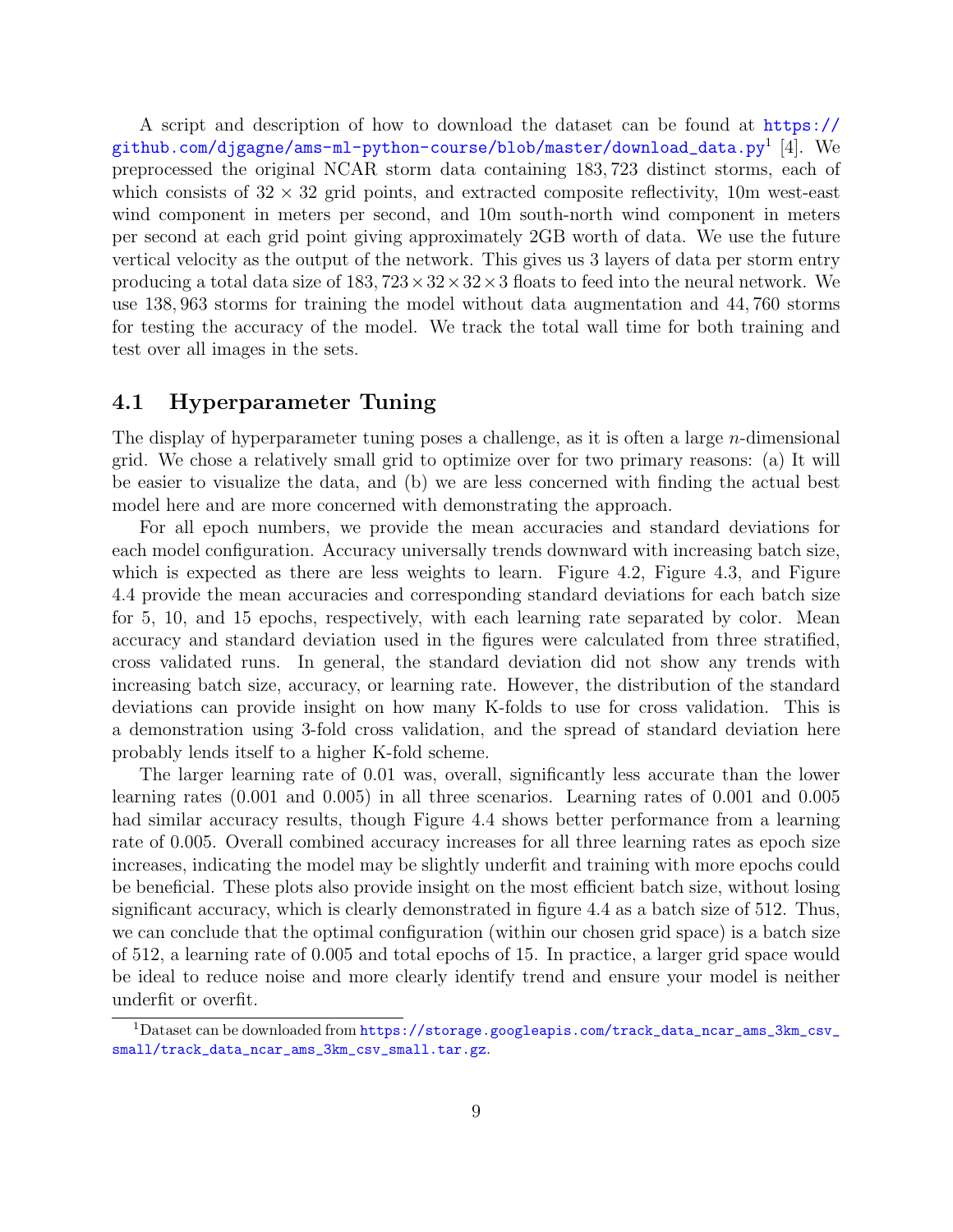A script and description of how to download the dataset can be found at [https://](https://github.com/djgagne/ams-ml-python-course/blob/master/download_data.py) [github.com/djgagne/ams-ml-python-course/blob/master/download\\_data.py](https://github.com/djgagne/ams-ml-python-course/blob/master/download_data.py) $^1$  $^1$  [\[4\]](#page-13-5). We preprocessed the original NCAR storm data containing 183, 723 distinct storms, each of which consists of  $32 \times 32$  grid points, and extracted composite reflectivity, 10m west-east wind component in meters per second, and 10m south-north wind component in meters per second at each grid point giving approximately 2GB worth of data. We use the future vertical velocity as the output of the network. This gives us 3 layers of data per storm entry producing a total data size of  $183,723\times32\times32\times3$  floats to feed into the neural network. We use 138, 963 storms for training the model without data augmentation and 44, 760 storms for testing the accuracy of the model. We track the total wall time for both training and test over all images in the sets.

#### 4.1 Hyperparameter Tuning

The display of hyperparameter tuning poses a challenge, as it is often a large  $n$ -dimensional grid. We chose a relatively small grid to optimize over for two primary reasons: (a) It will be easier to visualize the data, and (b) we are less concerned with finding the actual best model here and are more concerned with demonstrating the approach.

For all epoch numbers, we provide the mean accuracies and standard deviations for each model configuration. Accuracy universally trends downward with increasing batch size, which is expected as there are less weights to learn. Figure [4.2,](#page-9-0) Figure [4.3,](#page-9-1) and Figure [4.4](#page-10-0) provide the mean accuracies and corresponding standard deviations for each batch size for 5, 10, and 15 epochs, respectively, with each learning rate separated by color. Mean accuracy and standard deviation used in the figures were calculated from three stratified, cross validated runs. In general, the standard deviation did not show any trends with increasing batch size, accuracy, or learning rate. However, the distribution of the standard deviations can provide insight on how many K-folds to use for cross validation. This is a demonstration using 3-fold cross validation, and the spread of standard deviation here probably lends itself to a higher K-fold scheme.

The larger learning rate of 0.01 was, overall, significantly less accurate than the lower learning rates (0.001 and 0.005) in all three scenarios. Learning rates of 0.001 and 0.005 had similar accuracy results, though Figure [4.4](#page-10-0) shows better performance from a learning rate of 0.005. Overall combined accuracy increases for all three learning rates as epoch size increases, indicating the model may be slightly underfit and training with more epochs could be beneficial. These plots also provide insight on the most efficient batch size, without losing significant accuracy, which is clearly demonstrated in figure [4.4](#page-10-0) as a batch size of 512. Thus, we can conclude that the optimal configuration (within our chosen grid space) is a batch size of 512, a learning rate of 0.005 and total epochs of 15. In practice, a larger grid space would be ideal to reduce noise and more clearly identify trend and ensure your model is neither underfit or overfit.

<span id="page-8-0"></span> $1$ Dataset can be downloaded from  $https://storage.googleapis.com/track_data_ncar\_ams_3km_csv_$ [small/track\\_data\\_ncar\\_ams\\_3km\\_csv\\_small.tar.gz](https://storage.googleapis.com/track_data_ncar_ams_3km_csv_small/track_data_ncar_ams_3km_csv_small.tar.gz).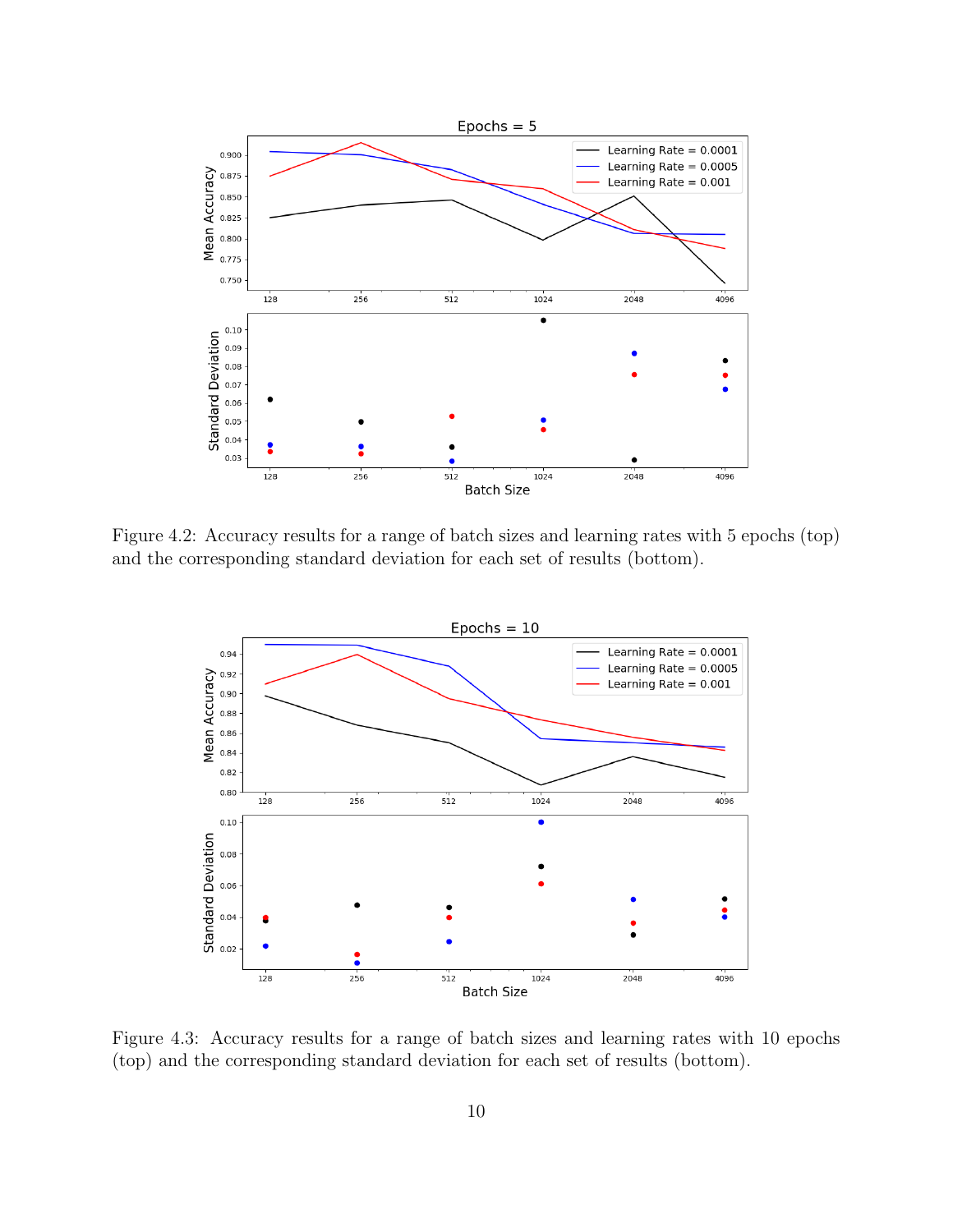

Figure 4.2: Accuracy results for a range of batch sizes and learning rates with 5 epochs (top) and the corresponding standard deviation for each set of results (bottom).

<span id="page-9-0"></span>

<span id="page-9-1"></span>Figure 4.3: Accuracy results for a range of batch sizes and learning rates with 10 epochs (top) and the corresponding standard deviation for each set of results (bottom).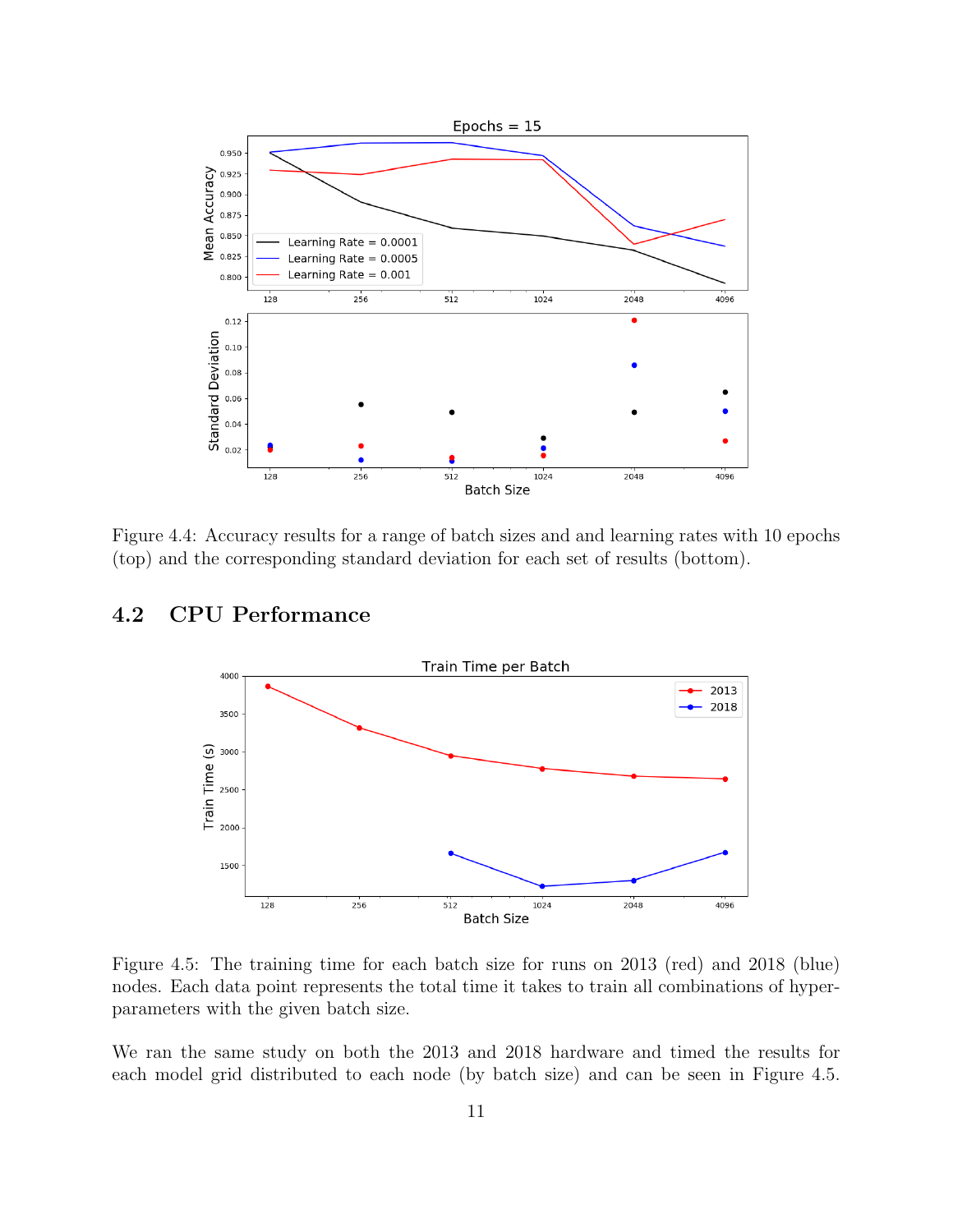

<span id="page-10-0"></span>Figure 4.4: Accuracy results for a range of batch sizes and and learning rates with 10 epochs (top) and the corresponding standard deviation for each set of results (bottom).

## 4.2 CPU Performance



<span id="page-10-1"></span>Figure 4.5: The training time for each batch size for runs on 2013 (red) and 2018 (blue) nodes. Each data point represents the total time it takes to train all combinations of hyperparameters with the given batch size.

We ran the same study on both the 2013 and 2018 hardware and timed the results for each model grid distributed to each node (by batch size) and can be seen in Figure [4.5.](#page-10-1)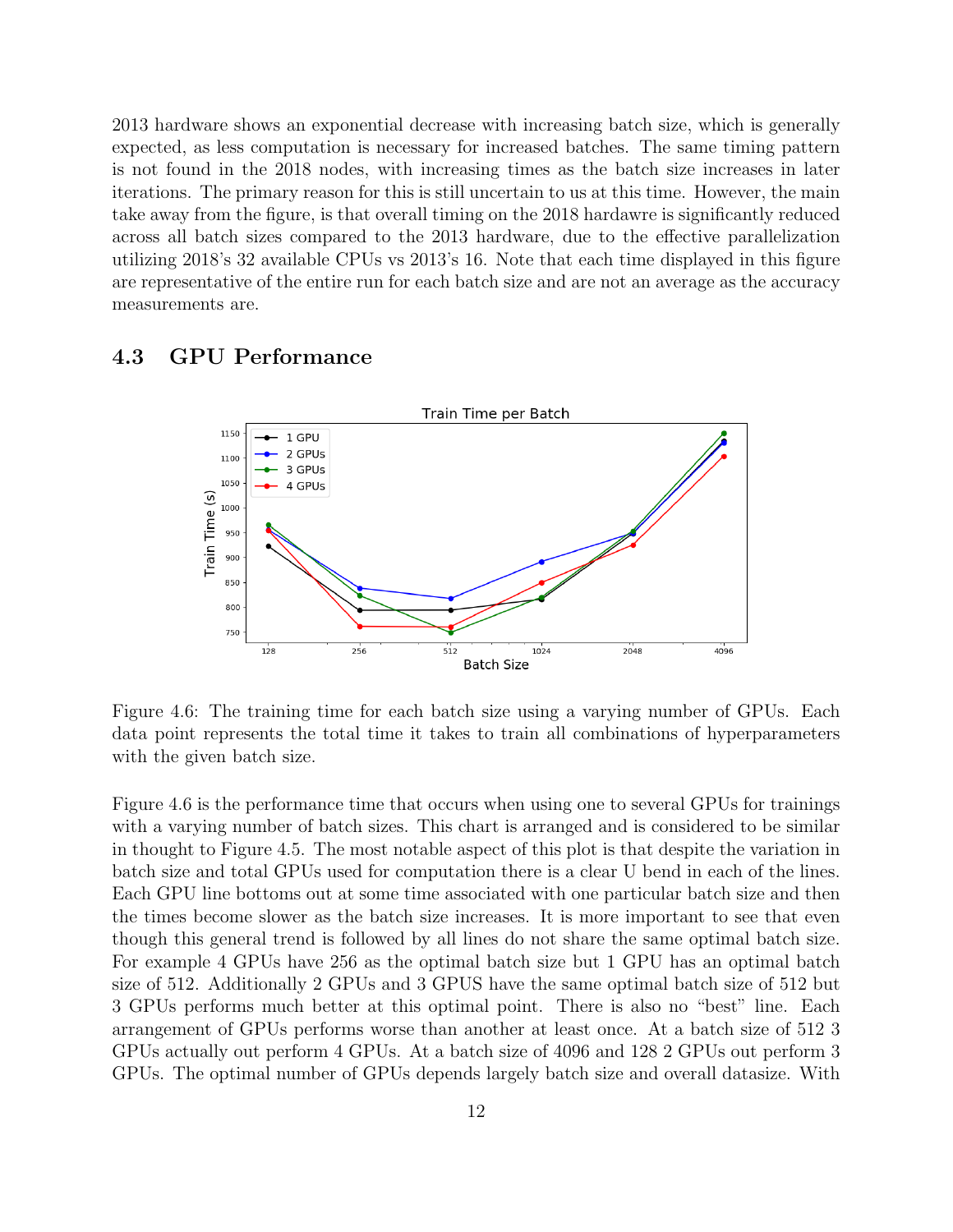2013 hardware shows an exponential decrease with increasing batch size, which is generally expected, as less computation is necessary for increased batches. The same timing pattern is not found in the 2018 nodes, with increasing times as the batch size increases in later iterations. The primary reason for this is still uncertain to us at this time. However, the main take away from the figure, is that overall timing on the 2018 hardawre is significantly reduced across all batch sizes compared to the 2013 hardware, due to the effective parallelization utilizing 2018's 32 available CPUs vs 2013's 16. Note that each time displayed in this figure are representative of the entire run for each batch size and are not an average as the accuracy measurements are.

### 4.3 GPU Performance



<span id="page-11-0"></span>Figure 4.6: The training time for each batch size using a varying number of GPUs. Each data point represents the total time it takes to train all combinations of hyperparameters with the given batch size.

Figure [4.6](#page-11-0) is the performance time that occurs when using one to several GPUs for trainings with a varying number of batch sizes. This chart is arranged and is considered to be similar in thought to Figure [4.5.](#page-10-1) The most notable aspect of this plot is that despite the variation in batch size and total GPUs used for computation there is a clear U bend in each of the lines. Each GPU line bottoms out at some time associated with one particular batch size and then the times become slower as the batch size increases. It is more important to see that even though this general trend is followed by all lines do not share the same optimal batch size. For example 4 GPUs have 256 as the optimal batch size but 1 GPU has an optimal batch size of 512. Additionally 2 GPUs and 3 GPUS have the same optimal batch size of 512 but 3 GPUs performs much better at this optimal point. There is also no "best" line. Each arrangement of GPUs performs worse than another at least once. At a batch size of 512 3 GPUs actually out perform 4 GPUs. At a batch size of 4096 and 128 2 GPUs out perform 3 GPUs. The optimal number of GPUs depends largely batch size and overall datasize. With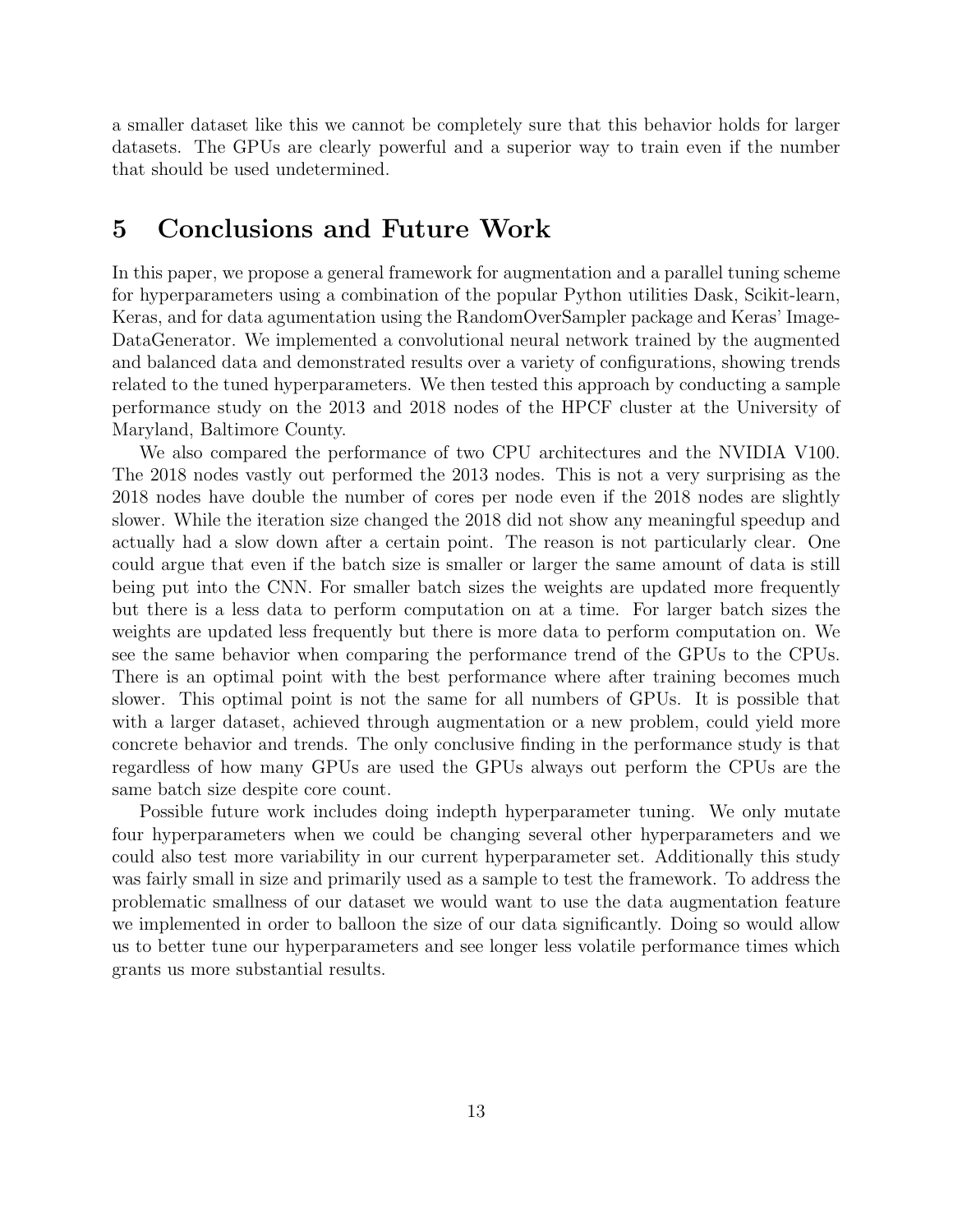a smaller dataset like this we cannot be completely sure that this behavior holds for larger datasets. The GPUs are clearly powerful and a superior way to train even if the number that should be used undetermined.

## <span id="page-12-0"></span>5 Conclusions and Future Work

In this paper, we propose a general framework for augmentation and a parallel tuning scheme for hyperparameters using a combination of the popular Python utilities Dask, Scikit-learn, Keras, and for data agumentation using the RandomOverSampler package and Keras' Image-DataGenerator. We implemented a convolutional neural network trained by the augmented and balanced data and demonstrated results over a variety of configurations, showing trends related to the tuned hyperparameters. We then tested this approach by conducting a sample performance study on the 2013 and 2018 nodes of the HPCF cluster at the University of Maryland, Baltimore County.

We also compared the performance of two CPU architectures and the NVIDIA V100. The 2018 nodes vastly out performed the 2013 nodes. This is not a very surprising as the 2018 nodes have double the number of cores per node even if the 2018 nodes are slightly slower. While the iteration size changed the 2018 did not show any meaningful speedup and actually had a slow down after a certain point. The reason is not particularly clear. One could argue that even if the batch size is smaller or larger the same amount of data is still being put into the CNN. For smaller batch sizes the weights are updated more frequently but there is a less data to perform computation on at a time. For larger batch sizes the weights are updated less frequently but there is more data to perform computation on. We see the same behavior when comparing the performance trend of the GPUs to the CPUs. There is an optimal point with the best performance where after training becomes much slower. This optimal point is not the same for all numbers of GPUs. It is possible that with a larger dataset, achieved through augmentation or a new problem, could yield more concrete behavior and trends. The only conclusive finding in the performance study is that regardless of how many GPUs are used the GPUs always out perform the CPUs are the same batch size despite core count.

Possible future work includes doing indepth hyperparameter tuning. We only mutate four hyperparameters when we could be changing several other hyperparameters and we could also test more variability in our current hyperparameter set. Additionally this study was fairly small in size and primarily used as a sample to test the framework. To address the problematic smallness of our dataset we would want to use the data augmentation feature we implemented in order to balloon the size of our data significantly. Doing so would allow us to better tune our hyperparameters and see longer less volatile performance times which grants us more substantial results.